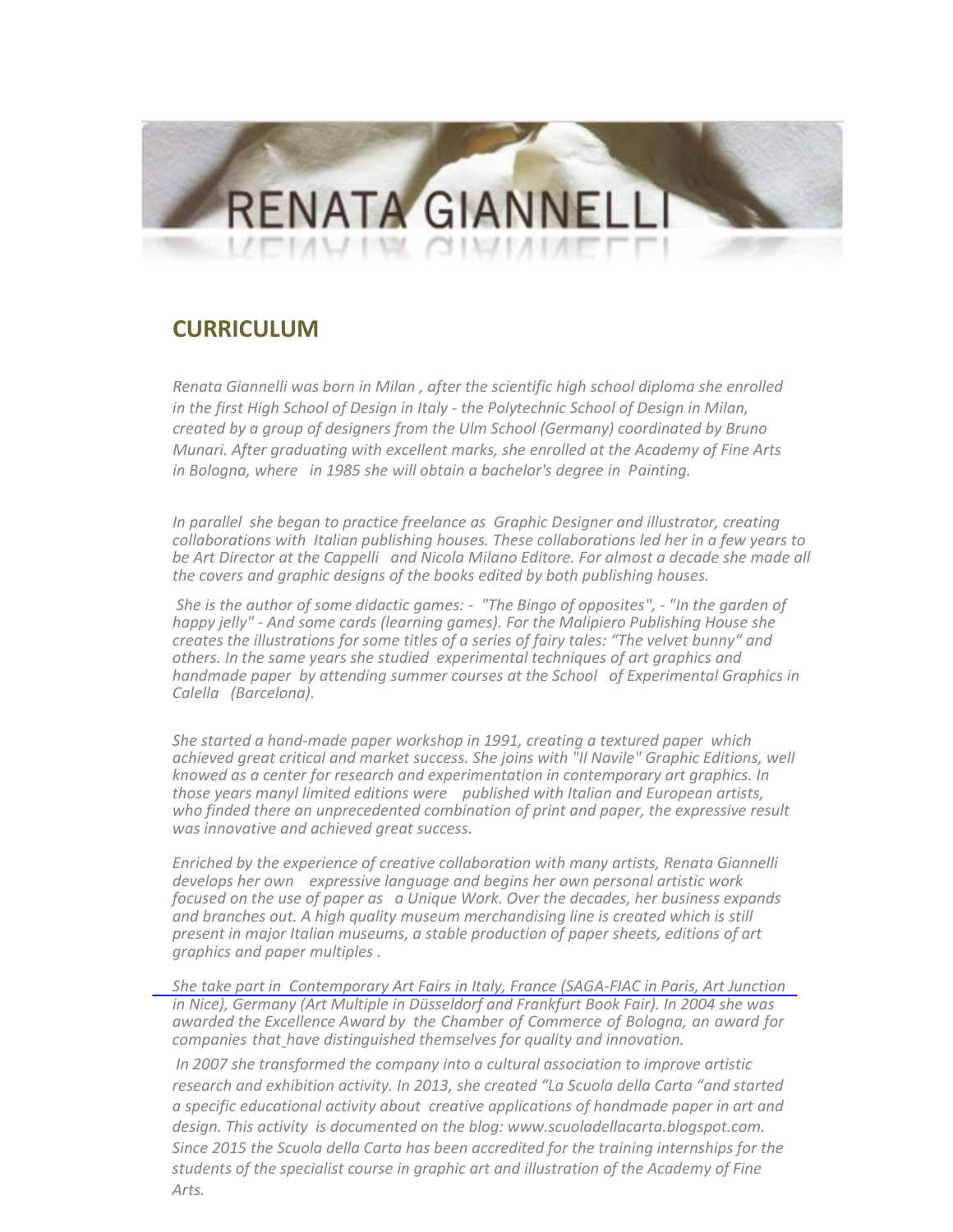## **RENATA GIANNEI**

## **CURRICULUM**

*Renata Giannelli was born in Milan , after the scientific high school diploma she enrolled in the first High School of Design in Italy - the Polytechnic School of Design in Milan, created by a group of designers from the Ulm School (Germany) coordinated by Bruno Munari. After graduating with excellent marks, she enrolled at the Academy of Fine Arts in Bologna, where in 1985 she will obtain a bachelor's degree in Painting.*

*In parallel she began to practice freelance as Graphic Designer and illustrator, creating collaborations with Italian publishing houses. These collaborations led her in a few years to be Art Director at the Cappelli and Nicola Milano Editore. For almost a decade she made all the covers and graphic designs of the books edited by both publishing houses.*

*She is the author of some didactic games: - "The Bingo of opposites", - "In the garden of happy jelly" - And some cards (learning games). For the Malipiero Publishing House she creates the illustrations for some titles of a series of fairy tales: "The velvet bunny" and others. In the same years she studied experimental techniques of art graphics and handmade paper by attending summer courses at the School of Experimental Graphics in Calella (Barcelona).*

*She started a hand-made paper workshop in 1991, creating a textured paper which achieved great critical and market success. She joins with "Il Navile" Graphic Editions, well knowed as a center for research and experimentation in contemporary art graphics. In those years manyl limited editions were published with Italian and European artists, who finded there an unprecedented combination of print and paper, the expressive result was innovative and achieved great success.*

*Enriched by the experience of creative collaboration with many artists, Renata Giannelli develops her own expressive language and begins her own personal artistic work focused on the use of paper as a Unique Work. Over the decades, her business expands and branches out. A high quality museum merchandising line is created which is still present in major Italian museums, a stable production of paper sheets, editions of art graphics and paper multiples .*

*She take part in Contemporary Art Fairs in Italy, France (SAGA-FIAC in Paris, Art Junction in Nice), Germany (Art Multiple in Düsseldorf and Frankfurt Book Fair). In 2004 she was awarded the Excellence Award by the Chamber of Commerce of Bologna, an award for companies that - have distinguished themselves for quality and innovation.*

 *In 2007 she transformed the company into a cultural association to improve artistic research and exhibition activity. In 2013, she created "La Scuola della Carta "and started a specific educational activity about creative applications of handmade paper in art and design. This activity is documented on the blog: www.scuoladellacarta.blogspot.com. Since 2015 the Scuola della Carta has been accredited for the training internships for the students of the specialist course in graphic art and illustration of the Academy of Fine Arts.*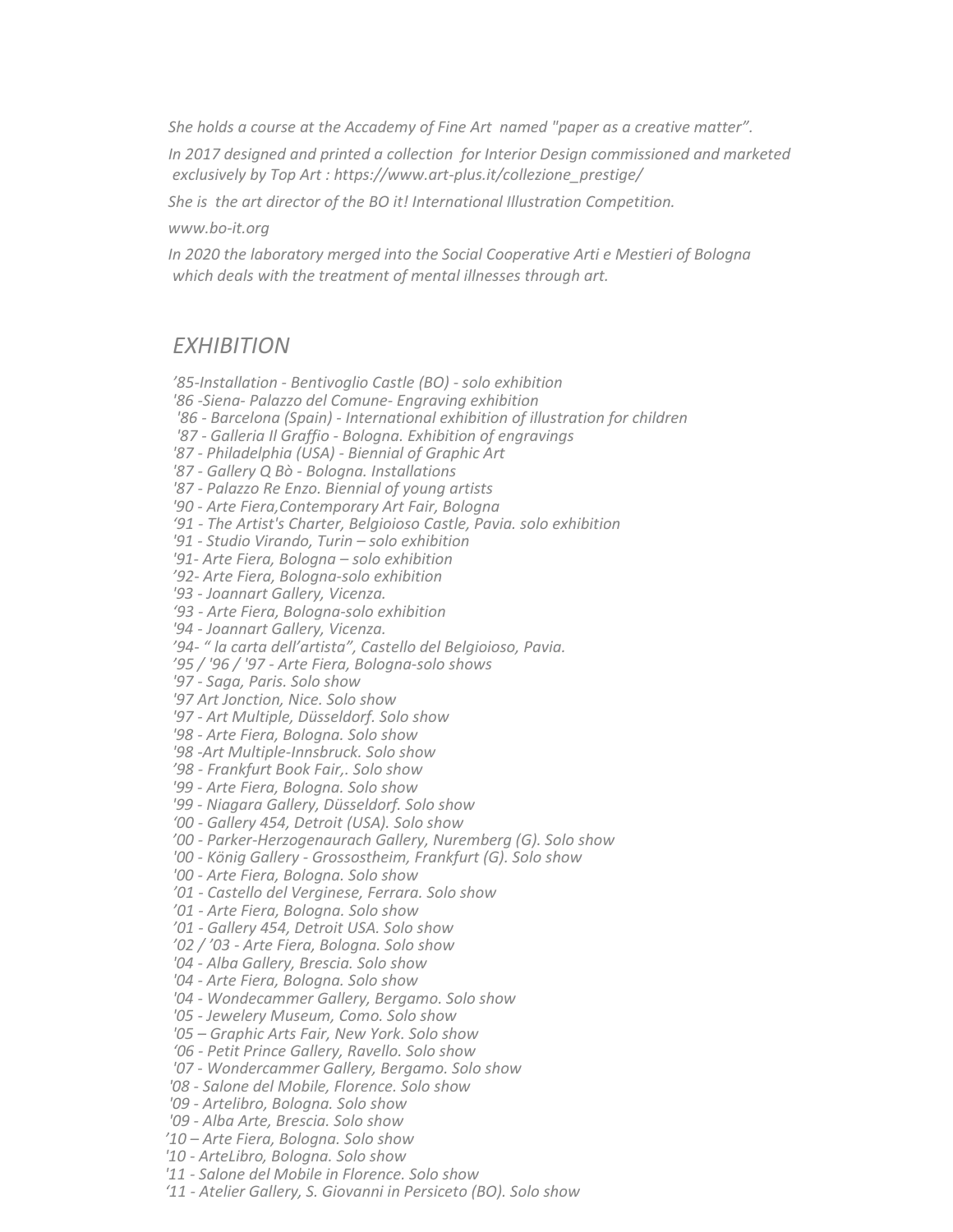*She holds a course at the Accademy of Fine Art named "paper as a creative matter".*

*In 2017 designed and printed a collection for Interior Design commissioned and marketed exclusively by Top Art [: https://www.art-plus.it/collezione\\_prestige/](https://www.art-plus.it/collezione_prestige/)*

*She is the art director of the BO it! International Illustration Competition.*

*www.bo-it.org*

*In 2020 the laboratory merged into the Social Cooperative Arti e Mestieri of Bologna which deals with the treatment of mental illnesses through art.*

## *EXHIBITION*

*'85-Installation - Bentivoglio Castle (BO) - solo exhibition '86 -Siena- Palazzo del Comune- Engraving exhibition '86 - Barcelona (Spain) - International exhibition of illustration for children '87 - Galleria Il Graffio - Bologna. Exhibition of engravings '87 - Philadelphia (USA) - Biennial of Graphic Art '87 - Gallery Q Bò - Bologna. Installations '87 - Palazzo Re Enzo. Biennial of young artists '90 - Arte Fiera,Contemporary Art Fair, Bologna '91 - The Artist's Charter, Belgioioso Castle, Pavia. solo exhibition '91 - Studio Virando, Turin – solo exhibition '91- Arte Fiera, Bologna – solo exhibition '92- Arte Fiera, Bologna-solo exhibition '93 - Joannart Gallery, Vicenza. '93 - Arte Fiera, Bologna-solo exhibition '94 - Joannart Gallery, Vicenza. '94- " la carta dell'artista", Castello del Belgioioso, Pavia. '95 / '96 / '97 - Arte Fiera, Bologna-solo shows '97 - Saga, Paris. Solo show '97 Art Jonction, Nice. Solo show '97 - Art Multiple, Düsseldorf. Solo show '98 - Arte Fiera, Bologna. Solo show '98 -Art Multiple-Innsbruck. Solo show '98 - Frankfurt Book Fair,. Solo show '99 - Arte Fiera, Bologna. Solo show '99 - Niagara Gallery, Düsseldorf. Solo show '00 - Gallery 454, Detroit (USA). Solo show '00 - Parker-Herzogenaurach Gallery, Nuremberg (G). Solo show '00 - König Gallery - Grossostheim, Frankfurt (G). Solo show '00 - Arte Fiera, Bologna. Solo show '01 - Castello del Verginese, Ferrara. Solo show '01 - Arte Fiera, Bologna. Solo show '01 - Gallery 454, Detroit USA. Solo show '02 / '03 - Arte Fiera, Bologna. Solo show '04 - Alba Gallery, Brescia. Solo show '04 - Arte Fiera, Bologna. Solo show '04 - Wondecammer Gallery, Bergamo. Solo show '05 - Jewelery Museum, Como. Solo show '05 – Graphic Arts Fair, New York. Solo show '06 - Petit Prince Gallery, Ravello. Solo show '07 - Wondercammer Gallery, Bergamo. Solo show '08 - Salone del Mobile, Florence. Solo show '09 - Artelibro, Bologna. Solo show '09 - Alba Arte, Brescia. Solo show '10 – Arte Fiera, Bologna. Solo show '10 - ArteLibro, Bologna. Solo show '11 - Salone del Mobile in Florence. Solo show '11 - Atelier Gallery, S. Giovanni in Persiceto (BO). Solo show*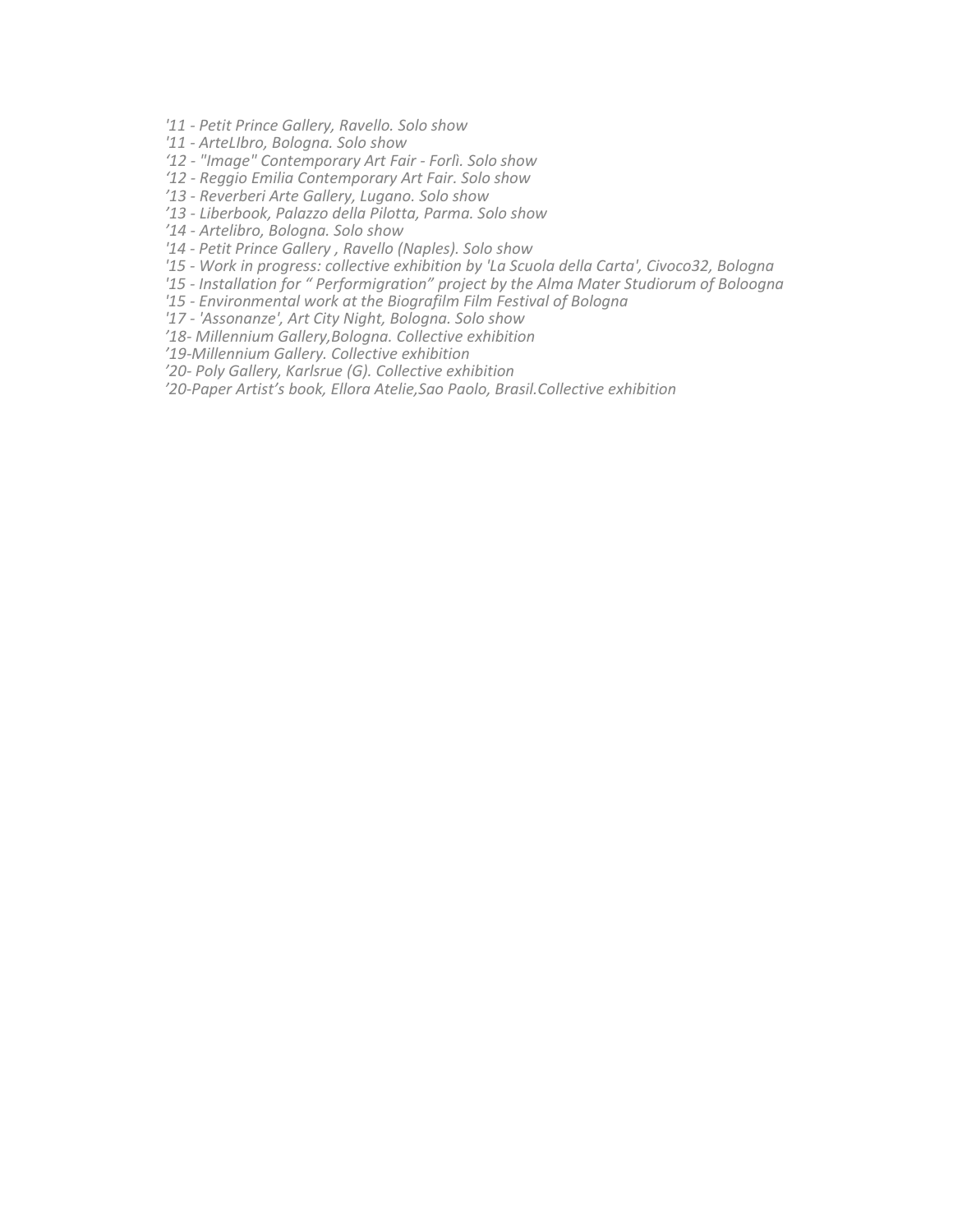- *'11 - Petit Prince Gallery, Ravello. Solo show*
- *'11 - ArteLIbro, Bologna. Solo show*
- *'12 - "Image" Contemporary Art Fair - Forlì. Solo show*
- *'12 - Reggio Emilia Contemporary Art Fair. Solo show*
- *'13 - Reverberi Arte Gallery, Lugano. Solo show*
- *'13 - Liberbook, Palazzo della Pilotta, Parma. Solo show*
- *'14 - Artelibro, Bologna. Solo show*
- *'14 - Petit Prince Gallery , Ravello (Naples). Solo show*
- *'15 - Work in progress: collective exhibition by 'La Scuola della Carta', Civoco32, Bologna*
- *'15 - Installation for " Performigration" project by the Alma Mater Studiorum of Boloogna*
- *'15 - Environmental work at the Biografilm Film Festival of Bologna*
- *'17 - 'Assonanze', Art City Night, Bologna. Solo show*
- *'18- Millennium Gallery,Bologna. Collective exhibition*
- *'19-Millennium Gallery. Collective exhibition*
- *'20- Poly Gallery, Karlsrue (G). Collective exhibition*
- *'20-Paper Artist's book, Ellora Atelie,Sao Paolo, Brasil.Collective exhibition*